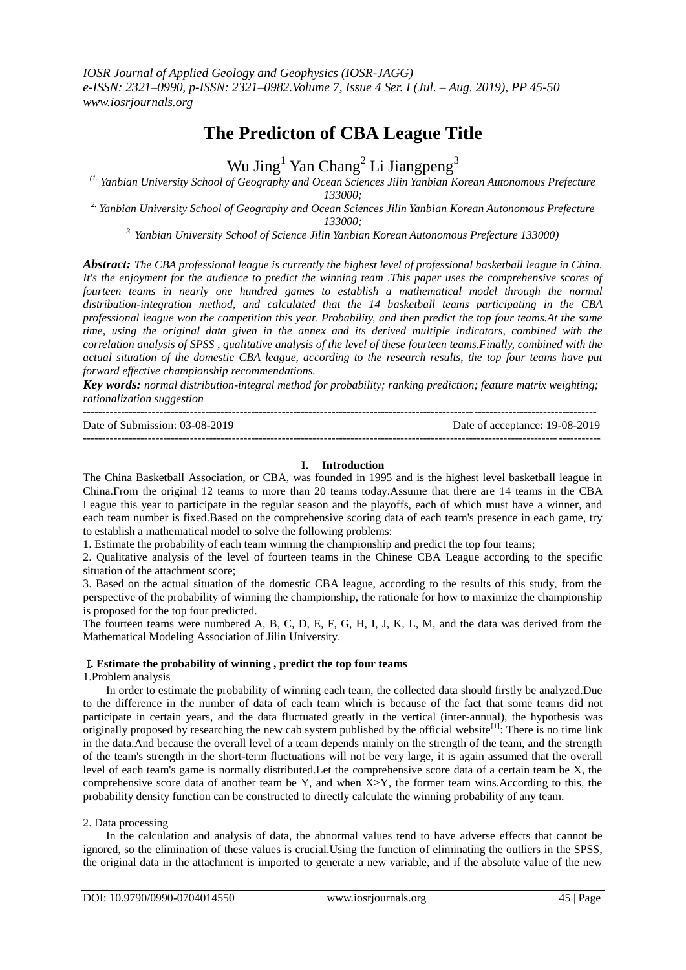# **The Predicton of CBA League Title**

Wu Jing<sup>1</sup> Yan Chang<sup>2</sup> Li Jiangpeng<sup>3</sup>

*(1. Yanbian University School of Geography and Ocean Sciences Jilin Yanbian Korean Autonomous Prefecture* 

*133000;* 

*2. Yanbian University School of Geography and Ocean Sciences Jilin Yanbian Korean Autonomous Prefecture 133000;* 

*3. Yanbian University School of Science Jilin Yanbian Korean Autonomous Prefecture 133000)*

*Abstract: The CBA professional league is currently the highest level of professional basketball league in China. It's the enjoyment for the audience to predict the winning team .This paper uses the comprehensive scores of fourteen teams in nearly one hundred games to establish a mathematical model through the normal distribution-integration method, and calculated that the 14 basketball teams participating in the CBA professional league won the competition this year. Probability, and then predict the top four teams.At the same time, using the original data given in the annex and its derived multiple indicators, combined with the correlation analysis of SPSS , qualitative analysis of the level of these fourteen teams.Finally, combined with the actual situation of the domestic CBA league, according to the research results, the top four teams have put forward effective championship recommendations.*

*Key words: normal distribution-integral method for probability; ranking prediction; feature matrix weighting; rationalization suggestion*

-------------------------------------------------------------------------------------------------------------------------------------- Date of Submission: 03-08-2019 Date of acceptance: 19-08-2019  $-1-\frac{1}{2}$ 

# **I. Introduction**

The China Basketball Association, or CBA, was founded in 1995 and is the highest level basketball league in China.From the original 12 teams to more than 20 teams today.Assume that there are 14 teams in the CBA League this year to participate in the regular season and the playoffs, each of which must have a winner, and each team number is fixed.Based on the comprehensive scoring data of each team's presence in each game, try to establish a mathematical model to solve the following problems:

1. Estimate the probability of each team winning the championship and predict the top four teams;

2. Qualitative analysis of the level of fourteen teams in the Chinese CBA League according to the specific situation of the attachment score;

3. Based on the actual situation of the domestic CBA league, according to the results of this study, from the perspective of the probability of winning the championship, the rationale for how to maximize the championship is proposed for the top four predicted.

The fourteen teams were numbered A, B, C, D, E, F, G, H, I, J, K, L, M, and the data was derived from the Mathematical Modeling Association of Jilin University.

# Ⅰ**. Estimate the probability of winning , predict the top four teams**

1.Problem analysis

In order to estimate the probability of winning each team, the collected data should firstly be analyzed.Due to the difference in the number of data of each team which is because of the fact that some teams did not participate in certain years, and the data fluctuated greatly in the vertical (inter-annual), the hypothesis was originally proposed by researching the new cab system published by the official website<sup>[1]</sup>: There is no time link in the data.And because the overall level of a team depends mainly on the strength of the team, and the strength of the team's strength in the short-term fluctuations will not be very large, it is again assumed that the overall level of each team's game is normally distributed.Let the comprehensive score data of a certain team be X, the comprehensive score data of another team be Y, and when  $X > Y$ , the former team wins.According to this, the probability density function can be constructed to directly calculate the winning probability of any team.

# 2. Data processing

In the calculation and analysis of data, the abnormal values tend to have adverse effects that cannot be ignored, so the elimination of these values is crucial.Using the function of eliminating the outliers in the SPSS, the original data in the attachment is imported to generate a new variable, and if the absolute value of the new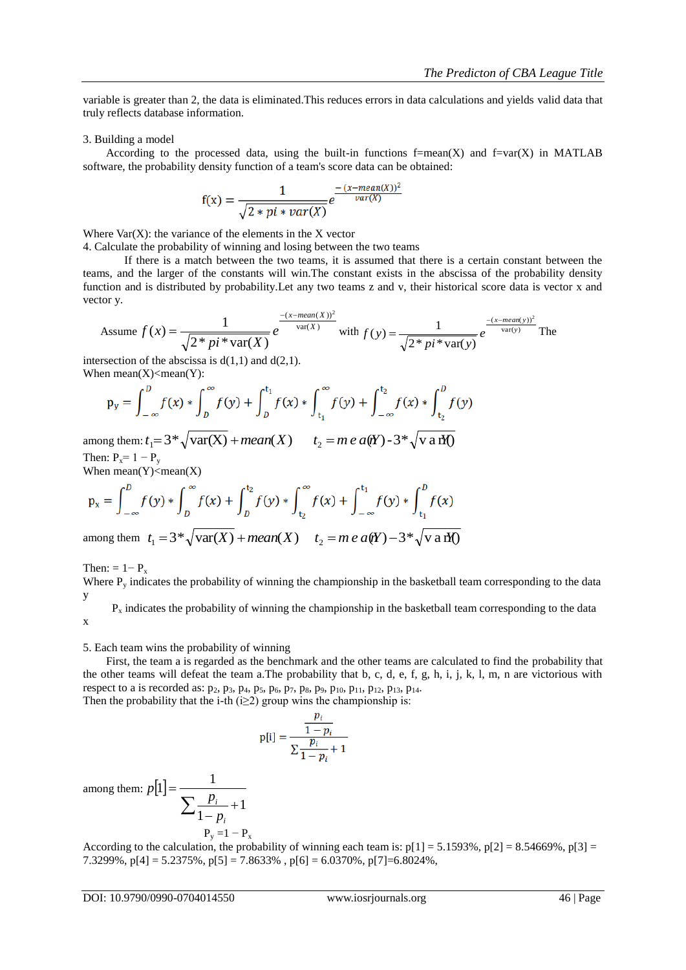variable is greater than 2, the data is eliminated.This reduces errors in data calculations and yields valid data that truly reflects database information.

#### 3. Building a model

According to the processed data, using the built-in functions  $f=mean(X)$  and  $f=var(X)$  in MATLAB software, the probability density function of a team's score data can be obtained:

$$
f(x) = \frac{1}{\sqrt{2 * pi * var(X)}} e^{\frac{-(x - mean(X))^2}{var(X)}}
$$

Where  $Var(X)$ : the variance of the elements in the  $X$  vector

4. Calculate the probability of winning and losing between the two teams

If there is a match between the two teams, it is assumed that there is a certain constant between the teams, and the larger of the constants will win.The constant exists in the abscissa of the probability density function and is distributed by probability.Let any two teams z and v, their historical score data is vector x and vector y.

Assume 
$$
f(x) = \frac{1}{\sqrt{2 * pi * var(X)}} e^{-\frac{(x - mean(X))^2}{var(X)}}
$$
 with  $f(y) = \frac{1}{\sqrt{2 * pi * var(y)}} e^{-\frac{(x - mean(y))^2}{var(y)}}$  The

intersection of the abscissa is  $d(1,1)$  and  $d(2,1)$ . When  $mean(X)$  <mean(Y):

$$
p_y = \int_{-\infty}^{D} f(x) * \int_{D}^{\infty} f(y) + \int_{D}^{t_1} f(x) * \int_{t_1}^{\infty} f(y) + \int_{-\infty}^{t_2} f(x) * \int_{t_2}^{D} f(y)
$$

among them:  $t_1 = 3 * \sqrt{\text{var}(X) + \text{mean}(X)}$   $t_2 = m e a(Y) - 3 * \sqrt{\text{var}(Y)}$ Then:  $P_x = 1 - P_y$ 

When  $mean(Y)$  <mean(X)

$$
p_x = \int_{-\infty}^{D} f(y) * \int_{D}^{\infty} f(x) + \int_{D}^{t_2} f(y) * \int_{t_2}^{\infty} f(x) + \int_{-\infty}^{t_1} f(y) * \int_{t_1}^{D} f(x)
$$

among them  $t_1 = 3^* \sqrt{\text{var}(X) + \text{mean}(X)}$   $t_2 = m e a(Y) - 3^* \sqrt{\text{var}(Y)}$ 

Then:  $= 1 - P_r$ 

Where  $P<sub>v</sub>$  indicates the probability of winning the championship in the basketball team corresponding to the data y

 $P_x$  indicates the probability of winning the championship in the basketball team corresponding to the data x

5. Each team wins the probability of winning

First, the team a is regarded as the benchmark and the other teams are calculated to find the probability that the other teams will defeat the team a.The probability that b, c, d, e, f, g, h, i, j, k, l, m, n are victorious with respect to a is recorded as:  $p_2$ ,  $p_3$ ,  $p_4$ ,  $p_5$ ,  $p_6$ ,  $p_7$ ,  $p_8$ ,  $p_9$ ,  $p_{10}$ ,  $p_{11}$ ,  $p_{12}$ ,  $p_{13}$ ,  $p_{14}$ . Then the probability that the i-th (i $\geq$ 2) group wins the championship is:

$$
p[i] = \frac{\frac{p_i}{1 - p_i}}{\sum \frac{p_i}{1 - p_i} + 1}
$$

among them:  $p|1|$  $\sum \frac{p_i}{1-p_i} +$  $=$  $[1] = \frac{1}{1}$  $p[1] = \frac{1}{\sum p}$ 

$$
1 - p_i
$$
  
P<sub>y</sub> = 1 - P<sub>x</sub>

*i*

1

According to the calculation, the probability of winning each team is:  $p[1] = 5.1593\%$ ,  $p[2] = 8.54669\%$ ,  $p[3] =$ 7.3299%,  $p[4] = 5.2375\%$ ,  $p[5] = 7.8633\%$ ,  $p[6] = 6.0370\%$ ,  $p[7] = 6.8024\%$ ,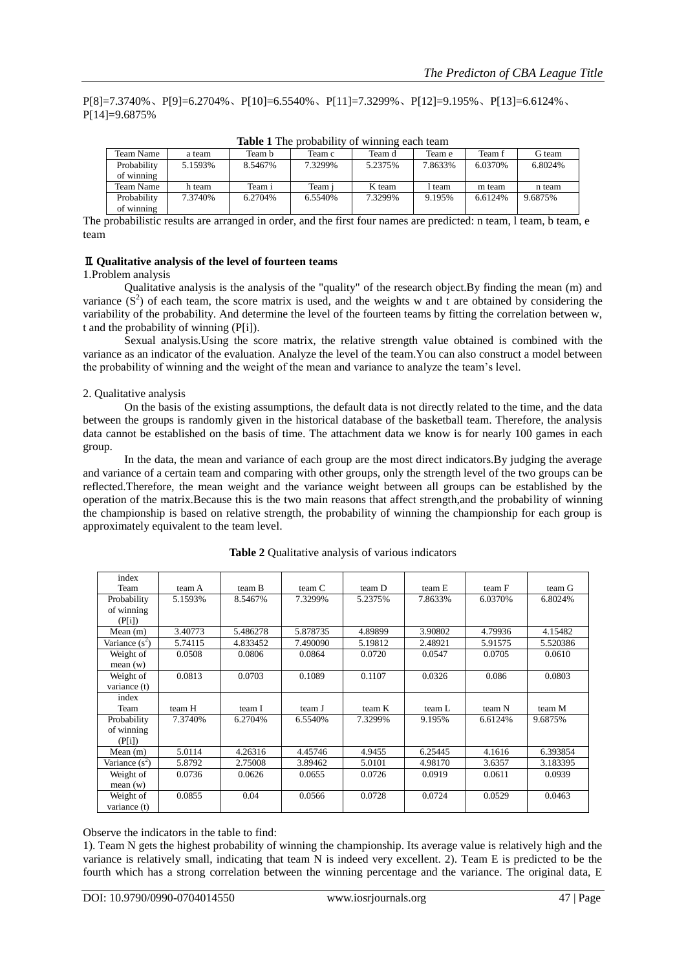P[8]=7.3740%、P[9]=6.2704%、P[10]=6.5540%、P[11]=7.3299%、P[12]=9.195%、P[13]=6.6124%、 P[14]=9.6875%

|             |          |         |          | ຼ       |         |         |         |
|-------------|----------|---------|----------|---------|---------|---------|---------|
| Team Name   | a team   | Team b  | Team c   | Team d  | Team e  | Team f  | G team  |
| Probability | 5.1593%  | 8.5467% | 7.3299%  | 5.2375% | 7.8633% | 6.0370% | 6.8024% |
| of winning  |          |         |          |         |         |         |         |
| Team Name   | h team   | Team i  | Team i   | K team  | l team  | m team  | n team  |
| Probability | 7.3740\% | 6.2704% | 6.5540\% | 7.3299% | 9.195%  | 6.6124% | 9.6875% |
| of winning  |          |         |          |         |         |         |         |

**Table 1** The probability of winning each team

The probabilistic results are arranged in order, and the first four names are predicted: n team, l team, b team, e team

# Ⅱ**. Qualitative analysis of the level of fourteen teams**

#### 1.Problem analysis

Qualitative analysis is the analysis of the "quality" of the research object.By finding the mean (m) and variance  $(S^2)$  of each team, the score matrix is used, and the weights w and t are obtained by considering the variability of the probability. And determine the level of the fourteen teams by fitting the correlation between w, t and the probability of winning (P[i]).

Sexual analysis.Using the score matrix, the relative strength value obtained is combined with the variance as an indicator of the evaluation. Analyze the level of the team.You can also construct a model between the probability of winning and the weight of the mean and variance to analyze the team's level.

#### 2. Qualitative analysis

On the basis of the existing assumptions, the default data is not directly related to the time, and the data between the groups is randomly given in the historical database of the basketball team. Therefore, the analysis data cannot be established on the basis of time. The attachment data we know is for nearly 100 games in each group.

In the data, the mean and variance of each group are the most direct indicators.By judging the average and variance of a certain team and comparing with other groups, only the strength level of the two groups can be reflected.Therefore, the mean weight and the variance weight between all groups can be established by the operation of the matrix.Because this is the two main reasons that affect strength,and the probability of winning the championship is based on relative strength, the probability of winning the championship for each group is approximately equivalent to the team level.

| index<br>Team    | team A  | team B   | team C   | team D  | team E  | team F  | team G   |
|------------------|---------|----------|----------|---------|---------|---------|----------|
| Probability      | 5.1593% | 8.5467%  | 7.3299%  | 5.2375% | 7.8633% | 6.0370% | 6.8024%  |
| of winning       |         |          |          |         |         |         |          |
| (P[i])           |         |          |          |         |         |         |          |
| Mean $(m)$       | 3.40773 | 5.486278 | 5.878735 | 4.89899 | 3.90802 | 4.79936 | 4.15482  |
| Variance $(s^2)$ | 5.74115 | 4.833452 | 7.490090 | 5.19812 | 2.48921 | 5.91575 | 5.520386 |
| Weight of        | 0.0508  | 0.0806   | 0.0864   | 0.0720  | 0.0547  | 0.0705  | 0.0610   |
| mean(w)          |         |          |          |         |         |         |          |
| Weight of        | 0.0813  | 0.0703   | 0.1089   | 0.1107  | 0.0326  | 0.086   | 0.0803   |
| variance (t)     |         |          |          |         |         |         |          |
| index            |         |          |          |         |         |         |          |
| Team             | team H  | team I   | team J   | team K  | team L  | team N  | team M   |
| Probability      | 7.3740% | 6.2704%  | 6.5540%  | 7.3299% | 9.195%  | 6.6124% | 9.6875%  |
| of winning       |         |          |          |         |         |         |          |
| (P[i])           |         |          |          |         |         |         |          |
| Mean $(m)$       | 5.0114  | 4.26316  | 4.45746  | 4.9455  | 6.25445 | 4.1616  | 6.393854 |
| Variance $(s^2)$ | 5.8792  | 2.75008  | 3.89462  | 5.0101  | 4.98170 | 3.6357  | 3.183395 |
| Weight of        | 0.0736  | 0.0626   | 0.0655   | 0.0726  | 0.0919  | 0.0611  | 0.0939   |
| mean(w)          |         |          |          |         |         |         |          |
| Weight of        | 0.0855  | 0.04     | 0.0566   | 0.0728  | 0.0724  | 0.0529  | 0.0463   |
| variance (t)     |         |          |          |         |         |         |          |

**Table 2** Qualitative analysis of various indicators

Observe the indicators in the table to find:

1). Team N gets the highest probability of winning the championship. Its average value is relatively high and the variance is relatively small, indicating that team N is indeed very excellent. 2). Team E is predicted to be the fourth which has a strong correlation between the winning percentage and the variance. The original data, E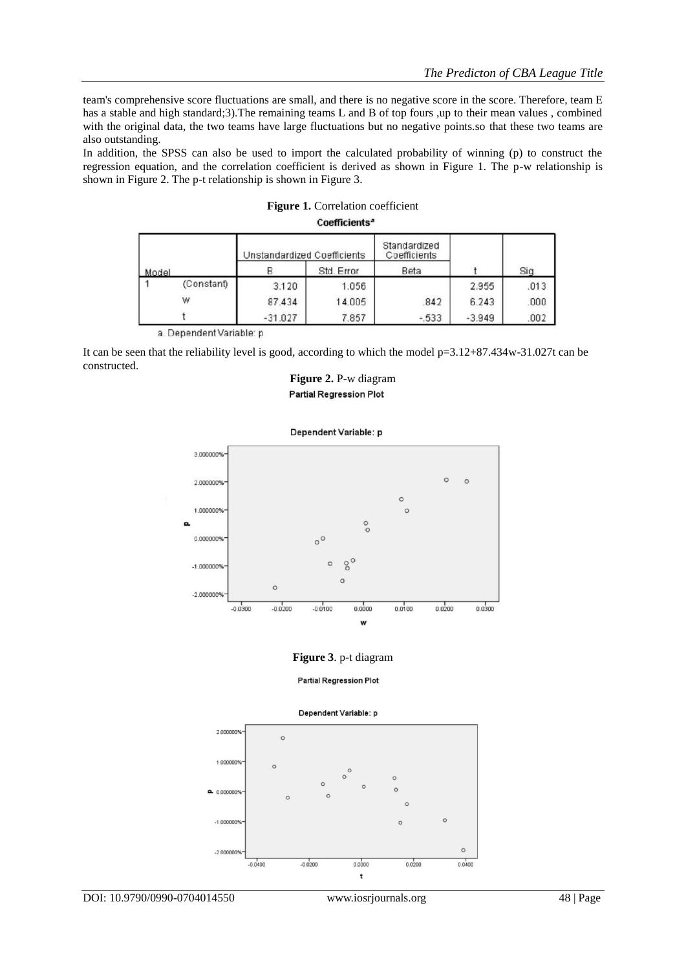team's comprehensive score fluctuations are small, and there is no negative score in the score. Therefore, team E has a stable and high standard;3). The remaining teams L and B of top fours ,up to their mean values, combined with the original data, the two teams have large fluctuations but no negative points.so that these two teams are also outstanding.

In addition, the SPSS can also be used to import the calculated probability of winning (p) to construct the regression equation, and the correlation coefficient is derived as shown in Figure 1. The p-w relationship is shown in Figure 2. The p-t relationship is shown in Figure 3.

| Model |            | Unstandardized Coefficients |            | Standardized<br>Coefficients |          |      |
|-------|------------|-----------------------------|------------|------------------------------|----------|------|
|       |            |                             | Std. Error | Beta                         |          | Sig. |
|       | (Constant) | 3.120                       | 1.056      |                              | 2.955    | .013 |
|       | W          | 87.434                      | 14.005     | .842                         | 6.243    | .000 |
|       |            | $-31.027$                   | 7.857      | $-533$                       | $-3.949$ | .002 |

| <b>Figure 1.</b> Correlation coefficient |
|------------------------------------------|
| Coefficients <sup>a</sup>                |

a. Dependent Variable: p

It can be seen that the reliability level is good, according to which the model p=3.12+87.434w-31.027t can be constructed.

**Figure 2.** P-w diagram **Partial Regression Plot** 





## **Figure 3**. p-t diagram

**Partial Regression Plot** 



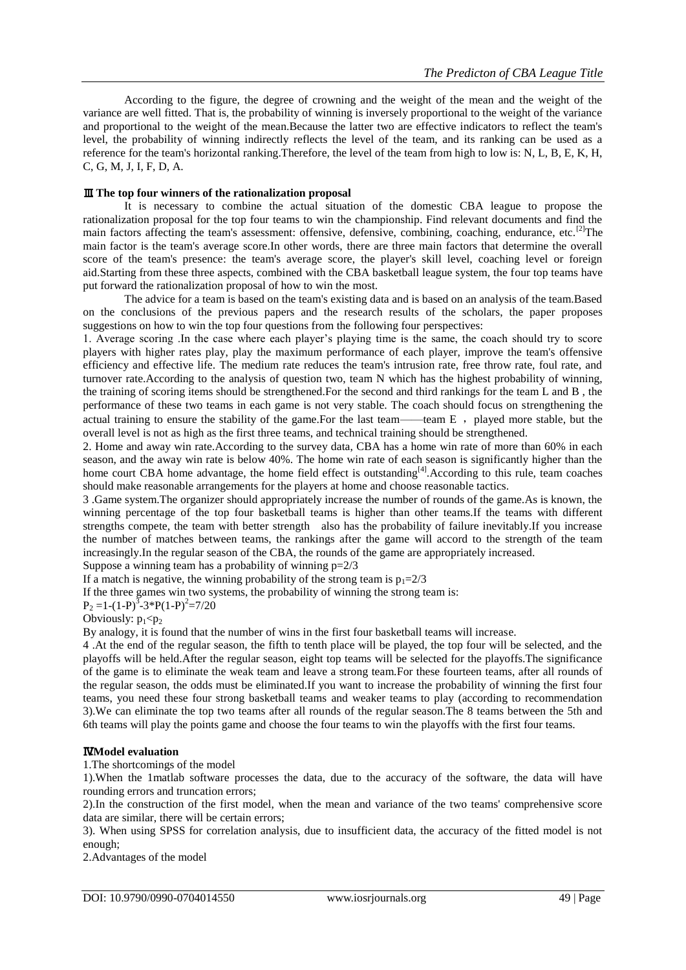According to the figure, the degree of crowning and the weight of the mean and the weight of the variance are well fitted. That is, the probability of winning is inversely proportional to the weight of the variance and proportional to the weight of the mean.Because the latter two are effective indicators to reflect the team's level, the probability of winning indirectly reflects the level of the team, and its ranking can be used as a reference for the team's horizontal ranking.Therefore, the level of the team from high to low is: N, L, B, E, K, H, C, G, M, J, I, F, D, A.

## Ⅲ**. The top four winners of the rationalization proposal**

It is necessary to combine the actual situation of the domestic CBA league to propose the rationalization proposal for the top four teams to win the championship. Find relevant documents and find the main factors affecting the team's assessment: offensive, defensive, combining, coaching, endurance, etc.<sup>[2]</sup>The main factor is the team's average score.In other words, there are three main factors that determine the overall score of the team's presence: the team's average score, the player's skill level, coaching level or foreign aid.Starting from these three aspects, combined with the CBA basketball league system, the four top teams have put forward the rationalization proposal of how to win the most.

The advice for a team is based on the team's existing data and is based on an analysis of the team.Based on the conclusions of the previous papers and the research results of the scholars, the paper proposes suggestions on how to win the top four questions from the following four perspectives:

1. Average scoring .In the case where each player's playing time is the same, the coach should try to score players with higher rates play, play the maximum performance of each player, improve the team's offensive efficiency and effective life. The medium rate reduces the team's intrusion rate, free throw rate, foul rate, and turnover rate.According to the analysis of question two, team N which has the highest probability of winning, the training of scoring items should be strengthened.For the second and third rankings for the team L and B , the performance of these two teams in each game is not very stable. The coach should focus on strengthening the actual training to ensure the stability of the game. For the last team——team  $E$ , played more stable, but the overall level is not as high as the first three teams, and technical training should be strengthened.

2. Home and away win rate.According to the survey data, CBA has a home win rate of more than 60% in each season, and the away win rate is below 40%. The home win rate of each season is significantly higher than the home court CBA home advantage, the home field effect is outstanding<sup>[4]</sup>.According to this rule, team coaches should make reasonable arrangements for the players at home and choose reasonable tactics.

3 .Game system.The organizer should appropriately increase the number of rounds of the game.As is known, the winning percentage of the top four basketball teams is higher than other teams.If the teams with different strengths compete, the team with better strength also has the probability of failure inevitably.If you increase the number of matches between teams, the rankings after the game will accord to the strength of the team increasingly.In the regular season of the CBA, the rounds of the game are appropriately increased.

Suppose a winning team has a probability of winning  $p=2/3$ 

If a match is negative, the winning probability of the strong team is  $p_1=2/3$ 

If the three games win two systems, the probability of winning the strong team is:

 $P_2 = 1-(1-P)^3 - 3*P(1-P)^2 = 7/20$ 

## Obviously:  $p_1$ < $p_2$

By analogy, it is found that the number of wins in the first four basketball teams will increase.

4 .At the end of the regular season, the fifth to tenth place will be played, the top four will be selected, and the playoffs will be held.After the regular season, eight top teams will be selected for the playoffs.The significance of the game is to eliminate the weak team and leave a strong team.For these fourteen teams, after all rounds of the regular season, the odds must be eliminated.If you want to increase the probability of winning the first four teams, you need these four strong basketball teams and weaker teams to play (according to recommendation 3).We can eliminate the top two teams after all rounds of the regular season.The 8 teams between the 5th and 6th teams will play the points game and choose the four teams to win the playoffs with the first four teams.

## Ⅳ**.Model evaluation**

1.The shortcomings of the model

1).When the 1matlab software processes the data, due to the accuracy of the software, the data will have rounding errors and truncation errors;

2).In the construction of the first model, when the mean and variance of the two teams' comprehensive score data are similar, there will be certain errors;

3). When using SPSS for correlation analysis, due to insufficient data, the accuracy of the fitted model is not enough;

2.Advantages of the model